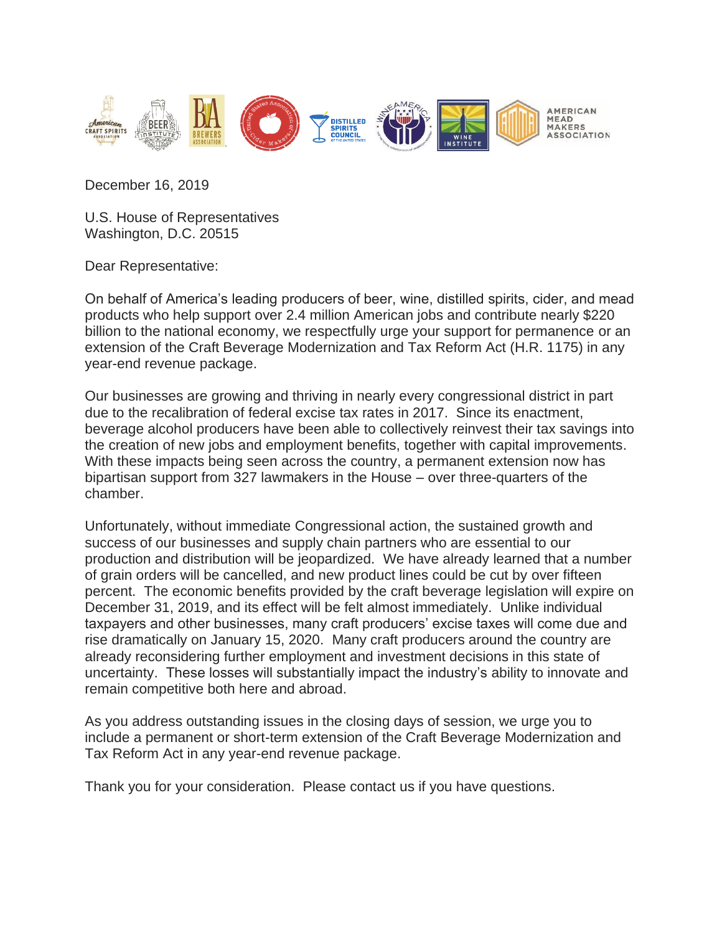

December 16, 2019

U.S. House of Representatives Washington, D.C. 20515

Dear Representative:

On behalf of America's leading producers of beer, wine, distilled spirits, cider, and mead products who help support over 2.4 million American jobs and contribute nearly \$220 billion to the national economy, we respectfully urge your support for permanence or an extension of the Craft Beverage Modernization and Tax Reform Act (H.R. 1175) in any year-end revenue package.

Our businesses are growing and thriving in nearly every congressional district in part due to the recalibration of federal excise tax rates in 2017. Since its enactment, beverage alcohol producers have been able to collectively reinvest their tax savings into the creation of new jobs and employment benefits, together with capital improvements. With these impacts being seen across the country, a permanent extension now has bipartisan support from 327 lawmakers in the House – over three-quarters of the chamber.

Unfortunately, without immediate Congressional action, the sustained growth and success of our businesses and supply chain partners who are essential to our production and distribution will be jeopardized. We have already learned that a number of grain orders will be cancelled, and new product lines could be cut by over fifteen percent. The economic benefits provided by the craft beverage legislation will expire on December 31, 2019, and its effect will be felt almost immediately. Unlike individual taxpayers and other businesses, many craft producers' excise taxes will come due and rise dramatically on January 15, 2020. Many craft producers around the country are already reconsidering further employment and investment decisions in this state of uncertainty. These losses will substantially impact the industry's ability to innovate and remain competitive both here and abroad.

As you address outstanding issues in the closing days of session, we urge you to include a permanent or short-term extension of the Craft Beverage Modernization and Tax Reform Act in any year-end revenue package.

Thank you for your consideration. Please contact us if you have questions.